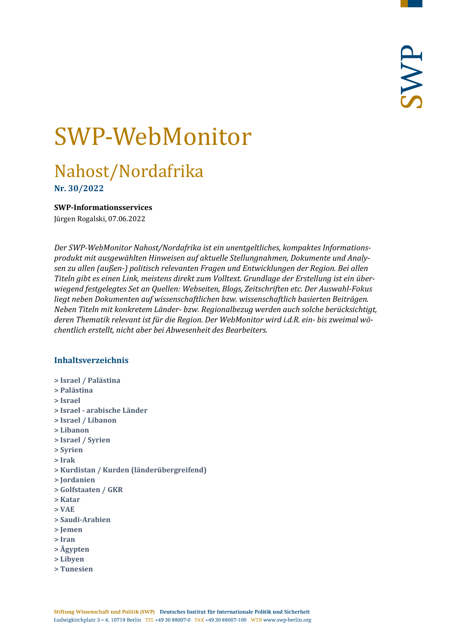# SWP-WebMonitor

# Nahost/Nordafrika

**Nr. 30/2022**

<span id="page-0-0"></span>**SWP-Informationsservices**

Jürgen Rogalski, 07.06.2022

*Der SWP-WebMonitor Nahost/Nordafrika ist ein unentgeltliches, kompaktes Informationsprodukt mit ausgewählten Hinweisen auf aktuelle Stellungnahmen, Dokumente und Analysen zu allen (außen-) politisch relevanten Fragen und Entwicklungen der Region. Bei allen Titeln gibt es einen Link, meistens direkt zum Volltext. Grundlage der Erstellung ist ein überwiegend festgelegtes Set an Quellen: Webseiten, Blogs, Zeitschriften etc. Der Auswahl-Fokus liegt neben Dokumenten auf wissenschaftlichen bzw. wissenschaftlich basierten Beiträgen. Neben Titeln mit konkretem Länder- bzw. Regionalbezug werden auch solche berücksichtigt, deren Thematik relevant ist für die Region. Der WebMonitor wird i.d.R. ein- bis zweimal wöchentlich erstellt, nicht aber bei Abwesenheit des Bearbeiters.*

#### **Inhaltsverzeichnis**

- **[> Israel / Palästina](#page-1-0)**
- **[> Palästina](#page-2-0)**
- **[> Israel](#page-2-1)**
- **> Israel - [arabische Länder](#page-4-0)**
- **[> Israel / Libanon](#page-4-1)**
- **[> Libanon](#page-5-0)**
- **[> Israel / Syrien](#page-5-1)**
- **[> Syrien](#page-6-0)**
- **[> Irak](#page-8-0)**
- **[> Kurdistan / Kurden \(länderübergreifend\)](#page-9-0)**
- **[> Jordanien](#page-9-1)**
- **[> Golfstaaten / GKR](#page-10-0)**
- **[> Katar](#page-11-0)**
- **[> VAE](#page-11-1)**
- **[> Saudi-Arabien](#page-12-0)**
- **[> Jemen](#page-13-0)**
- **[> Iran](#page-14-0)**
- **[> Ägypten](#page-16-0)**
- **[> Libyen](#page-17-0)**
- **[> Tunesien](#page-18-0)**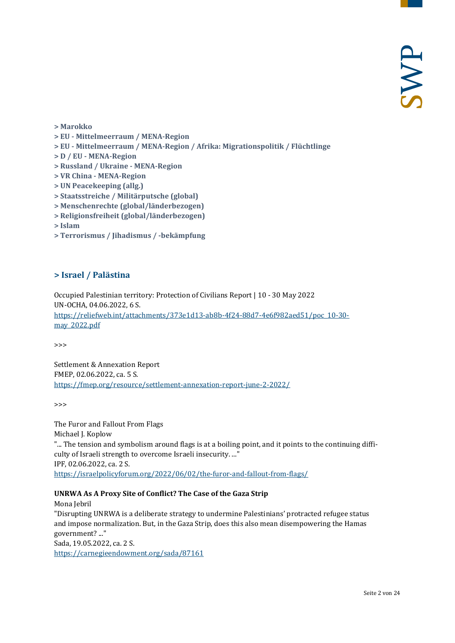- **[> Marokko](#page-19-0)**
- **> EU - [Mittelmeerraum / MENA-Region](#page-19-1)**
- **> EU - [Mittelmeerraum / MENA-Region / Afrika: Migrationspolitik / Flüchtlinge](#page-20-0)**
- **> D / EU - [MENA-Region](#page-20-1)**
- **[> Russland / Ukraine -](#page-20-2) MENA-Region**
- **> VR China - [MENA-Region](#page-21-0)**
- **[> UN Peacekeeping \(allg.\)](#page-21-1)**
- **[> Staatsstreiche / Militärputsche \(global\)](#page-21-2)**
- **[> Menschenrechte \(global/länderbezogen\)](#page-21-3)**
- **[> Religionsfreiheit \(global/länderbezogen\)](#page-22-0)**
- **[> Islam](#page-22-1)**
- <span id="page-1-0"></span>**[> Terrorismus / Jihadismus / -bekämpfung](#page-22-2)**

#### **> Israel / Palästina**

Occupied Palestinian territory: Protection of Civilians Report | 10 - 30 May 2022 UN-OCHA, 04.06.2022, 6 S. [https://reliefweb.int/attachments/373e1d13-ab8b-4f24-88d7-4e6f982aed51/poc\\_10-30](https://reliefweb.int/attachments/373e1d13-ab8b-4f24-88d7-4e6f982aed51/poc_10-30-may_2022.pdf) [may\\_2022.pdf](https://reliefweb.int/attachments/373e1d13-ab8b-4f24-88d7-4e6f982aed51/poc_10-30-may_2022.pdf)

>>>

Settlement & Annexation Report FMEP, 02.06.2022, ca. 5 S. <https://fmep.org/resource/settlement-annexation-report-june-2-2022/>

>>>

The Furor and Fallout From Flags Michael J. Koplow "... The tension and symbolism around flags is at a boiling point, and it points to the continuing difficulty of Israeli strength to overcome Israeli insecurity. ..." IPF, 02.06.2022, ca. 2 S. <https://israelpolicyforum.org/2022/06/02/the-furor-and-fallout-from-flags/>

#### **UNRWA As A Proxy Site of Conflict? The Case of the Gaza Strip**

Mona Jebril "Disrupting UNRWA is a deliberate strategy to undermine Palestinians' protracted refugee status and impose normalization. But, in the Gaza Strip, does this also mean disempowering the Hamas government? ..." Sada, 19.05.2022, ca. 2 S. <https://carnegieendowment.org/sada/87161>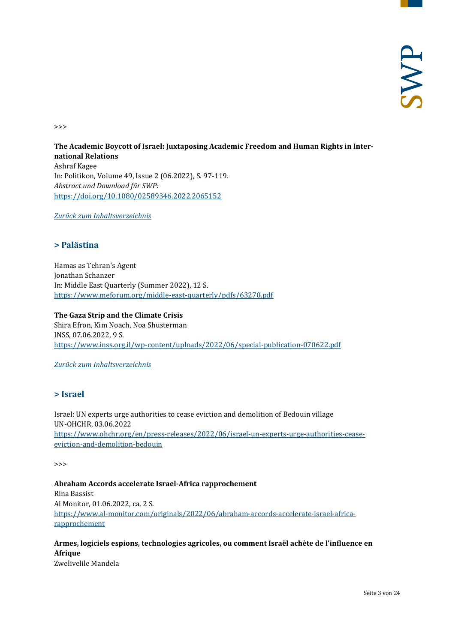>>>

#### **The Academic Boycott of Israel: Juxtaposing Academic Freedom and Human Rights in International Relations** Ashraf Kagee In: Politikon, Volume 49, Issue 2 (06.2022), S. 97-119. *Abstract und Download für SWP:* <https://doi.org/10.1080/02589346.2022.2065152>

<span id="page-2-0"></span>*[Zurück zum Inhaltsverzeichnis](#page-0-0)*

#### **> Palästina**

Hamas as Tehran's Agent Jonathan Schanzer In: Middle East Quarterly (Summer 2022), 12 S. <https://www.meforum.org/middle-east-quarterly/pdfs/63270.pdf>

**The Gaza Strip and the Climate Crisis**

Shira Efron, Kim Noach, Noa Shusterman INSS, 07.06.2022, 9 S. <https://www.inss.org.il/wp-content/uploads/2022/06/special-publication-070622.pdf>

<span id="page-2-1"></span>*[Zurück zum Inhaltsverzeichnis](#page-0-0)*

#### **> Israel**

Israel: UN experts urge authorities to cease eviction and demolition of Bedouin village UN-OHCHR, 03.06.2022 [https://www.ohchr.org/en/press-releases/2022/06/israel-un-experts-urge-authorities-cease](https://www.ohchr.org/en/press-releases/2022/06/israel-un-experts-urge-authorities-cease-eviction-and-demolition-bedouin)[eviction-and-demolition-bedouin](https://www.ohchr.org/en/press-releases/2022/06/israel-un-experts-urge-authorities-cease-eviction-and-demolition-bedouin)

>>>

#### **Abraham Accords accelerate Israel-Africa rapprochement**

Rina Bassist Al Monitor, 01.06.2022, ca. 2 S. [https://www.al-monitor.com/originals/2022/06/abraham-accords-accelerate-israel-africa](https://www.al-monitor.com/originals/2022/06/abraham-accords-accelerate-israel-africa-rapprochement)[rapprochement](https://www.al-monitor.com/originals/2022/06/abraham-accords-accelerate-israel-africa-rapprochement)

# **Armes, logiciels espions, technologies agricoles, ou comment Israël achète de l'influence en Afrique**

Zwelivelile Mandela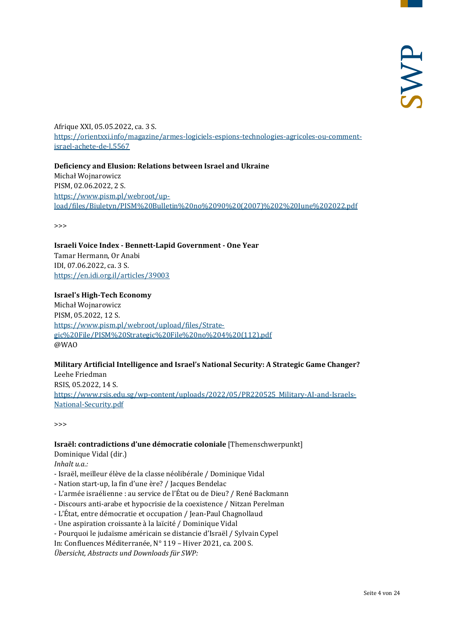Afrique XXI, 05.05.2022, ca. 3 S. [https://orientxxi.info/magazine/armes-logiciels-espions-technologies-agricoles-ou-comment](https://orientxxi.info/magazine/armes-logiciels-espions-technologies-agricoles-ou-comment-israel-achete-de-l,5567)[israel-achete-de-l,5567](https://orientxxi.info/magazine/armes-logiciels-espions-technologies-agricoles-ou-comment-israel-achete-de-l,5567)

**Deficiency and Elusion: Relations between Israel and Ukraine**  Michał Wojnarowicz PISM, 02.06.2022, 2 S. [https://www.pism.pl/webroot/up](https://www.pism.pl/webroot/upload/files/Biuletyn/PISM%20Bulletin%20no%2090%20(2007)%202%20June%202022.pdf)[load/files/Biuletyn/PISM%20Bulletin%20no%2090%20\(2007\)%202%20June%202022.pdf](https://www.pism.pl/webroot/upload/files/Biuletyn/PISM%20Bulletin%20no%2090%20(2007)%202%20June%202022.pdf)

>>>

**Israeli Voice Index - Bennett-Lapid Government - One Year** Tamar Hermann, Or Anabi IDI, 07.06.2022, ca. 3 S. <https://en.idi.org.il/articles/39003>

#### **Israel's High-Tech Economy**

Michał Wojnarowicz PISM, 05.2022, 12 S. [https://www.pism.pl/webroot/upload/files/Strate](https://www.pism.pl/webroot/upload/files/Strategic%20File/PISM%20Strategic%20File%20no%204%20(112).pdf)[gic%20File/PISM%20Strategic%20File%20no%204%20\(112\).pdf](https://www.pism.pl/webroot/upload/files/Strategic%20File/PISM%20Strategic%20File%20no%204%20(112).pdf) @WAO

#### **Military Artificial Intelligence and Israel's National Security: A Strategic Game Changer?**

Leehe Friedman RSIS, 05.2022, 14 S. [https://www.rsis.edu.sg/wp-content/uploads/2022/05/PR220525\\_Military-AI-and-Israels-](https://www.rsis.edu.sg/wp-content/uploads/2022/05/PR220525_Military-AI-and-Israels-National-Security.pdf)[National-Security.pdf](https://www.rsis.edu.sg/wp-content/uploads/2022/05/PR220525_Military-AI-and-Israels-National-Security.pdf)

>>>

#### **Israël: contradictions d'une démocratie coloniale** [Themenschwerpunkt]

Dominique Vidal (dir.)

*Inhalt u.a.:*

- Israël, meilleur élève de la classe néolibérale / Dominique Vidal
- Nation start-up, la fin d'une ère? / Jacques Bendelac
- L'armée israélienne : au service de l'État ou de Dieu? / René Backmann
- Discours anti-arabe et hypocrisie de la coexistence / Nitzan Perelman
- L'État, entre démocratie et occupation / Jean-Paul Chagnollaud
- Une aspiration croissante à la laïcité / Dominique Vidal
- Pourquoi le judaïsme américain se distancie d'Israël / Sylvain Cypel
- In: Confluences Méditerranée, N° 119 Hiver 2021, ca. 200 S.

*Übersicht, Abstracts und Downloads für SWP:*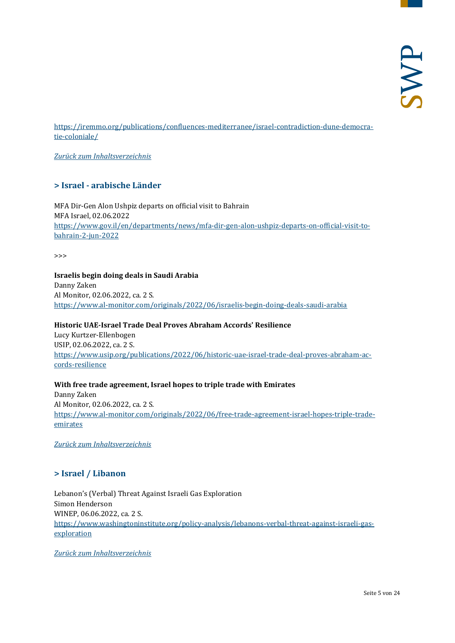[https://iremmo.org/publications/confluences-mediterranee/israel-contradiction-dune-democra](https://iremmo.org/publications/confluences-mediterranee/israel-contradiction-dune-democratie-coloniale/)[tie-coloniale/](https://iremmo.org/publications/confluences-mediterranee/israel-contradiction-dune-democratie-coloniale/)

<span id="page-4-0"></span>*[Zurück zum Inhaltsverzeichnis](#page-0-0)*

#### **> Israel - arabische Länder**

MFA Dir-Gen Alon Ushpiz departs on official visit to Bahrain MFA Israel, 02.06.2022 [https://www.gov.il/en/departments/news/mfa-dir-gen-alon-ushpiz-departs-on-official-visit-to](https://www.gov.il/en/departments/news/mfa-dir-gen-alon-ushpiz-departs-on-official-visit-to-bahrain-2-jun-2022)[bahrain-2-jun-2022](https://www.gov.il/en/departments/news/mfa-dir-gen-alon-ushpiz-departs-on-official-visit-to-bahrain-2-jun-2022)

>>>

#### **Israelis begin doing deals in Saudi Arabia**

Danny Zaken Al Monitor, 02.06.2022, ca. 2 S. <https://www.al-monitor.com/originals/2022/06/israelis-begin-doing-deals-saudi-arabia>

#### **Historic UAE-Israel Trade Deal Proves Abraham Accords' Resilience**

Lucy Kurtzer-Ellenbogen USIP, 02.06.2022, ca. 2 S. [https://www.usip.org/publications/2022/06/historic-uae-israel-trade-deal-proves-abraham-ac](https://www.usip.org/publications/2022/06/historic-uae-israel-trade-deal-proves-abraham-accords-resilience)[cords-resilience](https://www.usip.org/publications/2022/06/historic-uae-israel-trade-deal-proves-abraham-accords-resilience)

#### **With free trade agreement, Israel hopes to triple trade with Emirates**

Danny Zaken Al Monitor, 02.06.2022, ca. 2 S. [https://www.al-monitor.com/originals/2022/06/free-trade-agreement-israel-hopes-triple-trade](https://www.al-monitor.com/originals/2022/06/free-trade-agreement-israel-hopes-triple-trade-emirates)[emirates](https://www.al-monitor.com/originals/2022/06/free-trade-agreement-israel-hopes-triple-trade-emirates)

<span id="page-4-1"></span>*[Zurück zum Inhaltsverzeichnis](#page-0-0)*

#### **> Israel / Libanon**

Lebanon's (Verbal) Threat Against Israeli Gas Exploration Simon Henderson WINEP, 06.06.2022, ca. 2 S. [https://www.washingtoninstitute.org/policy-analysis/lebanons-verbal-threat-against-israeli-gas](https://www.washingtoninstitute.org/policy-analysis/lebanons-verbal-threat-against-israeli-gas-exploration)[exploration](https://www.washingtoninstitute.org/policy-analysis/lebanons-verbal-threat-against-israeli-gas-exploration)

*[Zurück zum Inhaltsverzeichnis](#page-0-0)*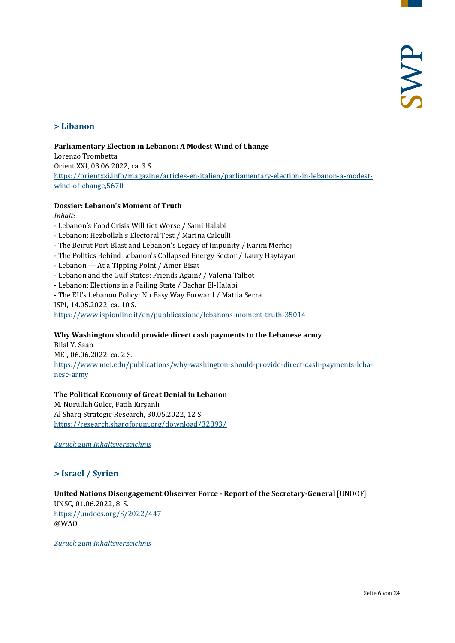#### <span id="page-5-0"></span>**> Libanon**

#### **Parliamentary Election in Lebanon: A Modest Wind of Change**

Lorenzo Trombetta Orient XXI, 03.06.2022, ca. 3 S. [https://orientxxi.info/magazine/articles-en-italien/parliamentary-election-in-lebanon-a-modest](https://orientxxi.info/magazine/articles-en-italien/parliamentary-election-in-lebanon-a-modest-wind-of-change,5670)[wind-of-change,5670](https://orientxxi.info/magazine/articles-en-italien/parliamentary-election-in-lebanon-a-modest-wind-of-change,5670)

#### **Dossier: Lebanon's Moment of Truth**

*Inhalt:*

- Lebanon's Food Crisis Will Get Worse / Sami Halabi
- Lebanon: Hezbollah's Electoral Test / Marina Calculli
- The Beirut Port Blast and Lebanon's Legacy of Impunity / Karim Merhej
- The Politics Behind Lebanon's Collapsed Energy Sector / Laury Haytayan
- Lebanon At a Tipping Point / Amer Bisat
- Lebanon and the Gulf States: Friends Again? / Valeria Talbot
- Lebanon: Elections in a Failing State / Bachar El-Halabi
- The EU's Lebanon Policy: No Easy Way Forward / Mattia Serra
- ISPI, 14.05.2022, ca. 10 S.

<https://www.ispionline.it/en/pubblicazione/lebanons-moment-truth-35014>

#### **Why Washington should provide direct cash payments to the Lebanese army**

Bilal Y. Saab MEI, 06.06.2022, ca. 2 S. [https://www.mei.edu/publications/why-washington-should-provide-direct-cash-payments-leba](https://www.mei.edu/publications/why-washington-should-provide-direct-cash-payments-lebanese-army)[nese-army](https://www.mei.edu/publications/why-washington-should-provide-direct-cash-payments-lebanese-army)

#### **The Political Economy of Great Denial in Lebanon**

M. Nurullah Gulec, Fatih Kırşanlı Al Sharq Strategic Research, 30.05.2022, 12 S. <https://research.sharqforum.org/download/32893/>

<span id="page-5-1"></span>*[Zurück zum Inhaltsverzeichnis](#page-0-0)*

#### **> Israel / Syrien**

### **United Nations Disengagement Observer Force - Report of the Secretary-General** [UNDOF]

UNSC, 01.06.2022, 8 S. <https://undocs.org/S/2022/447> @WAO

*[Zurück zum Inhaltsverzeichnis](#page-0-0)*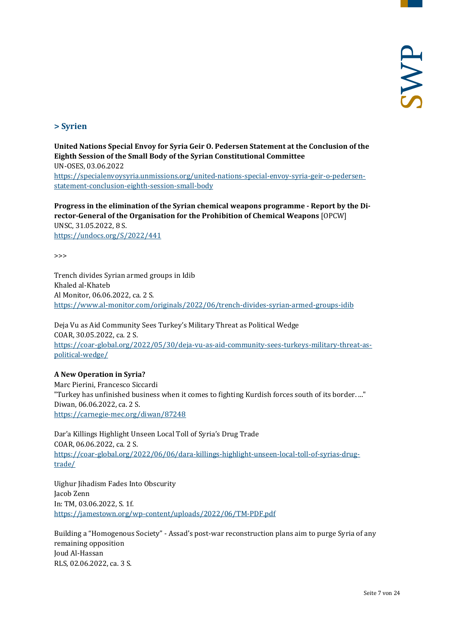#### <span id="page-6-0"></span>**> Syrien**

**United Nations Special Envoy for Syria Geir O. Pedersen Statement at the Conclusion of the Eighth Session of the Small Body of the Syrian Constitutional Committee** UN-OSES, 03.06.2022 [https://specialenvoysyria.unmissions.org/united-nations-special-envoy-syria-geir-o-pedersen](https://specialenvoysyria.unmissions.org/united-nations-special-envoy-syria-geir-o-pedersen-statement-conclusion-eighth-session-small-body)[statement-conclusion-eighth-session-small-body](https://specialenvoysyria.unmissions.org/united-nations-special-envoy-syria-geir-o-pedersen-statement-conclusion-eighth-session-small-body)

**Progress in the elimination of the Syrian chemical weapons programme - Report by the Director-General of the Organisation for the Prohibition of Chemical Weapons** [OPCW] UNSC, 31.05.2022, 8 S.

<https://undocs.org/S/2022/441>

>>>

Trench divides Syrian armed groups in Idib Khaled al-Khateb Al Monitor, 06.06.2022, ca. 2 S. <https://www.al-monitor.com/originals/2022/06/trench-divides-syrian-armed-groups-idib>

Deja Vu as Aid Community Sees Turkey's Military Threat as Political Wedge COAR, 30.05.2022, ca. 2 S. [https://coar-global.org/2022/05/30/deja-vu-as-aid-community-sees-turkeys-military-threat-as](https://coar-global.org/2022/05/30/deja-vu-as-aid-community-sees-turkeys-military-threat-as-political-wedge/)[political-wedge/](https://coar-global.org/2022/05/30/deja-vu-as-aid-community-sees-turkeys-military-threat-as-political-wedge/)

**A New Operation in Syria?** Marc Pierini, Francesco Siccardi "Turkey has unfinished business when it comes to fighting Kurdish forces south of its border. ..." Diwan, 06.06.2022, ca. 2 S. <https://carnegie-mec.org/diwan/87248>

Dar'a Killings Highlight Unseen Local Toll of Syria's Drug Trade COAR, 06.06.2022, ca. 2 S. [https://coar-global.org/2022/06/06/dara-killings-highlight-unseen-local-toll-of-syrias-drug](https://coar-global.org/2022/06/06/dara-killings-highlight-unseen-local-toll-of-syrias-drug-trade/)[trade/](https://coar-global.org/2022/06/06/dara-killings-highlight-unseen-local-toll-of-syrias-drug-trade/)

Uighur Jihadism Fades Into Obscurity Jacob Zenn In: TM, 03.06.2022, S. 1f. <https://jamestown.org/wp-content/uploads/2022/06/TM-PDF.pdf>

Building a "Homogenous Society" - Assad's post-war reconstruction plans aim to purge Syria of any remaining opposition Joud Al-Hassan RLS, 02.06.2022, ca. 3 S.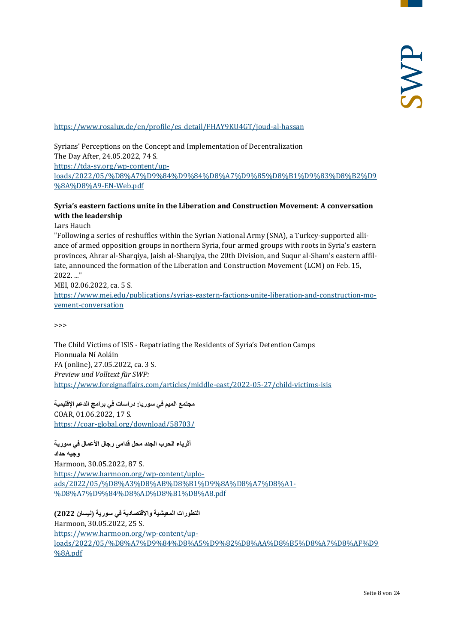#### [https://www.rosalux.de/en/profile/es\\_detail/FHAY9KU4GT/joud-al-hassan](https://www.rosalux.de/en/profile/es_detail/FHAY9KU4GT/joud-al-hassan)

Syrians' Perceptions on the Concept and Implementation of Decentralization The Day After, 24.05.2022, 74 S. [https://tda-sy.org/wp-content/up](https://tda-sy.org/wp-content/uploads/2022/05/%D8%A7%D9%84%D9%84%D8%A7%D9%85%D8%B1%D9%83%D8%B2%D9%8A%D8%A9-EN-Web.pdf)[loads/2022/05/%D8%A7%D9%84%D9%84%D8%A7%D9%85%D8%B1%D9%83%D8%B2%D9](https://tda-sy.org/wp-content/uploads/2022/05/%D8%A7%D9%84%D9%84%D8%A7%D9%85%D8%B1%D9%83%D8%B2%D9%8A%D8%A9-EN-Web.pdf) [%8A%D8%A9-EN-Web.pdf](https://tda-sy.org/wp-content/uploads/2022/05/%D8%A7%D9%84%D9%84%D8%A7%D9%85%D8%B1%D9%83%D8%B2%D9%8A%D8%A9-EN-Web.pdf)

#### **Syria's eastern factions unite in the Liberation and Construction Movement: A conversation with the leadership**

#### Lars Hauch

"Following a series of reshuffles within the Syrian National Army (SNA), a Turkey-supported alliance of armed opposition groups in northern Syria, four armed groups with roots in Syria's eastern provinces, Ahrar al-Sharqiya, Jaish al-Sharqiya, the 20th Division, and Suqur al-Sham's eastern affiliate, announced the formation of the Liberation and Construction Movement (LCM) on Feb. 15, 2022. ..."

MEI, 02.06.2022, ca. 5 S. [https://www.mei.edu/publications/syrias-eastern-factions-unite-liberation-and-construction-mo](https://www.mei.edu/publications/syrias-eastern-factions-unite-liberation-and-construction-movement-conversation)[vement-conversation](https://www.mei.edu/publications/syrias-eastern-factions-unite-liberation-and-construction-movement-conversation)

>>>

The Child Victims of ISIS - Repatriating the Residents of Syria's Detention Camps Fionnuala Ní Aoláin FA (online), 27.05.2022, ca. 3 S. *Preview und Volltext für SWP:* <https://www.foreignaffairs.com/articles/middle-east/2022-05-27/child-victims-isis>

**مجتمع المیم في سوریا: دراسات في برامج الدعم الإقلیمیة** COAR, 01.06.2022, 17 S. <https://coar-global.org/download/58703/>

**أثریاء الحرب الجدد محل قدامى رجال الأعمال في سوریة وجیھ حداد** Harmoon, 30.05.2022, 87 S. [https://www.harmoon.org/wp-content/uplo](https://www.harmoon.org/wp-content/uploads/2022/05/%D8%A3%D8%AB%D8%B1%D9%8A%D8%A7%D8%A1-%D8%A7%D9%84%D8%AD%D8%B1%D8%A8.pdf)[ads/2022/05/%D8%A3%D8%AB%D8%B1%D9%8A%D8%A7%D8%A1-](https://www.harmoon.org/wp-content/uploads/2022/05/%D8%A3%D8%AB%D8%B1%D9%8A%D8%A7%D8%A1-%D8%A7%D9%84%D8%AD%D8%B1%D8%A8.pdf) [%D8%A7%D9%84%D8%AD%D8%B1%D8%A8.pdf](https://www.harmoon.org/wp-content/uploads/2022/05/%D8%A3%D8%AB%D8%B1%D9%8A%D8%A7%D8%A1-%D8%A7%D9%84%D8%AD%D8%B1%D8%A8.pdf)

**التطورات المعیشیة والاقتصادیة في سوریة (نیسان 2022)** Harmoon, 30.05.2022, 25 S. [https://www.harmoon.org/wp-content/up](https://www.harmoon.org/wp-content/uploads/2022/05/%D8%A7%D9%84%D8%A5%D9%82%D8%AA%D8%B5%D8%A7%D8%AF%D9%8A.pdf)[loads/2022/05/%D8%A7%D9%84%D8%A5%D9%82%D8%AA%D8%B5%D8%A7%D8%AF%D9](https://www.harmoon.org/wp-content/uploads/2022/05/%D8%A7%D9%84%D8%A5%D9%82%D8%AA%D8%B5%D8%A7%D8%AF%D9%8A.pdf) [%8A.pdf](https://www.harmoon.org/wp-content/uploads/2022/05/%D8%A7%D9%84%D8%A5%D9%82%D8%AA%D8%B5%D8%A7%D8%AF%D9%8A.pdf)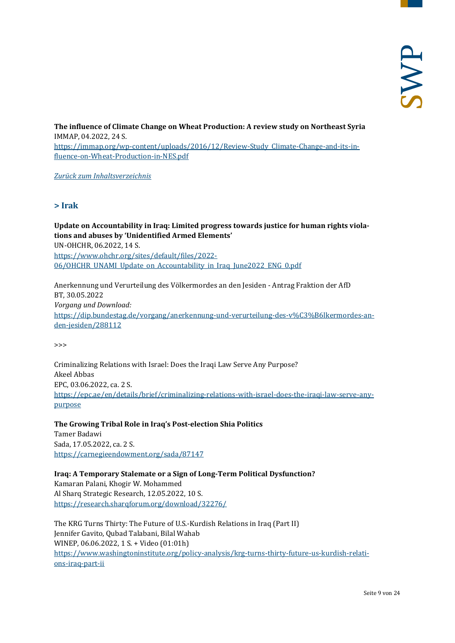**The influence of Climate Change on Wheat Production: A review study on Northeast Syria**  IMMAP, 04.2022, 24 S. [https://immap.org/wp-content/uploads/2016/12/Review-Study\\_Climate-Change-and-its-in](https://immap.org/wp-content/uploads/2016/12/Review-Study_Climate-Change-and-its-influence-on-Wheat-Production-in-NES.pdf)[fluence-on-Wheat-Production-in-NES.pdf](https://immap.org/wp-content/uploads/2016/12/Review-Study_Climate-Change-and-its-influence-on-Wheat-Production-in-NES.pdf)

<span id="page-8-0"></span>*[Zurück zum Inhaltsverzeichnis](#page-0-0)*

#### **> Irak**

**Update on Accountability in Iraq: Limited progress towards justice for human rights violations and abuses by 'Unidentified Armed Elements'** UN-OHCHR, 06.2022, 14 S. [https://www.ohchr.org/sites/default/files/2022-](https://www.ohchr.org/sites/default/files/2022-06/OHCHR_UNAMI_Update_on_Accountability_in_Iraq_June2022_ENG_0.pdf) [06/OHCHR\\_UNAMI\\_Update\\_on\\_Accountability\\_in\\_Iraq\\_June2022\\_ENG\\_0.pdf](https://www.ohchr.org/sites/default/files/2022-06/OHCHR_UNAMI_Update_on_Accountability_in_Iraq_June2022_ENG_0.pdf)

Anerkennung und Verurteilung des Völkermordes an den Jesiden - Antrag Fraktion der AfD BT, 30.05.2022 *Vorgang und Download:* [https://dip.bundestag.de/vorgang/anerkennung-und-verurteilung-des-v%C3%B6lkermordes-an](https://dip.bundestag.de/vorgang/anerkennung-und-verurteilung-des-v%C3%B6lkermordes-an-den-jesiden/288112)[den-jesiden/288112](https://dip.bundestag.de/vorgang/anerkennung-und-verurteilung-des-v%C3%B6lkermordes-an-den-jesiden/288112)

>>>

Criminalizing Relations with Israel: Does the Iraqi Law Serve Any Purpose? Akeel Abbas EPC, 03.06.2022, ca. 2 S. [https://epc.ae/en/details/brief/criminalizing-relations-with-israel-does-the-iraqi-law-serve-any](https://epc.ae/en/details/brief/criminalizing-relations-with-israel-does-the-iraqi-law-serve-any-purpose)[purpose](https://epc.ae/en/details/brief/criminalizing-relations-with-israel-does-the-iraqi-law-serve-any-purpose)

**The Growing Tribal Role in Iraq's Post-election Shia Politics** Tamer Badawi Sada, 17.05.2022, ca. 2 S. <https://carnegieendowment.org/sada/87147>

**Iraq: A Temporary Stalemate or a Sign of Long-Term Political Dysfunction?** Kamaran Palani, Khogir W. Mohammed Al Sharq Strategic Research, 12.05.2022, 10 S. <https://research.sharqforum.org/download/32276/>

The KRG Turns Thirty: The Future of U.S.-Kurdish Relations in Iraq (Part II) Jennifer Gavito, Qubad Talabani, Bilal Wahab WINEP, 06.06.2022, 1 S. + Video (01:01h) [https://www.washingtoninstitute.org/policy-analysis/krg-turns-thirty-future-us-kurdish-relati](https://www.washingtoninstitute.org/policy-analysis/krg-turns-thirty-future-us-kurdish-relations-iraq-part-ii)[ons-iraq-part-ii](https://www.washingtoninstitute.org/policy-analysis/krg-turns-thirty-future-us-kurdish-relations-iraq-part-ii)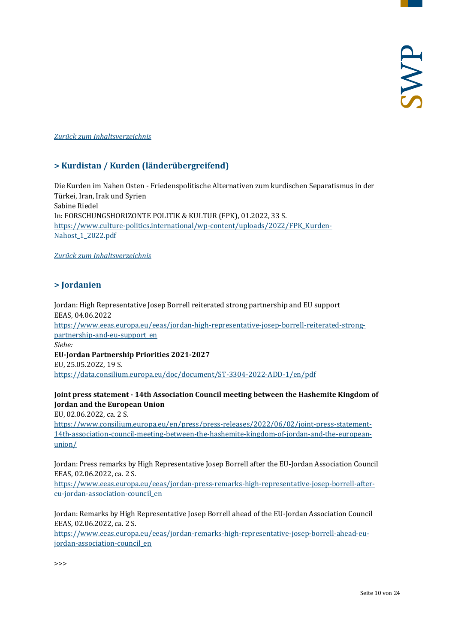#### <span id="page-9-0"></span>*[Zurück zum Inhaltsverzeichnis](#page-0-0)*

#### **> Kurdistan / Kurden (länderübergreifend)**

Die Kurden im Nahen Osten - Friedenspolitische Alternativen zum kurdischen Separatismus in der Türkei, Iran, Irak und Syrien Sabine Riedel In: FORSCHUNGSHORIZONTE POLITIK & KULTUR (FPK), 01.2022, 33 S. [https://www.culture-politics.international/wp-content/uploads/2022/FPK\\_Kurden-](https://www.culture-politics.international/wp-content/uploads/2022/FPK_Kurden-Nahost_1_2022.pdf)[Nahost\\_1\\_2022.pdf](https://www.culture-politics.international/wp-content/uploads/2022/FPK_Kurden-Nahost_1_2022.pdf)

#### <span id="page-9-1"></span>*[Zurück zum Inhaltsverzeichnis](#page-0-0)*

#### **> Jordanien**

Jordan: High Representative Josep Borrell reiterated strong partnership and EU support EEAS, 04.06.2022 [https://www.eeas.europa.eu/eeas/jordan-high-representative-josep-borrell-reiterated-strong](https://www.eeas.europa.eu/eeas/jordan-high-representative-josep-borrell-reiterated-strong-partnership-and-eu-support_en)[partnership-and-eu-support\\_en](https://www.eeas.europa.eu/eeas/jordan-high-representative-josep-borrell-reiterated-strong-partnership-and-eu-support_en) *Siehe:* **EU-Jordan Partnership Priorities 2021-2027** EU, 25.05.2022, 19 S. <https://data.consilium.europa.eu/doc/document/ST-3304-2022-ADD-1/en/pdf>

#### **Joint press statement - 14th Association Council meeting between the Hashemite Kingdom of Jordan and the European Union**

EU, 02.06.2022, ca. 2 S.

[https://www.consilium.europa.eu/en/press/press-releases/2022/06/02/joint-press-statement-](https://www.consilium.europa.eu/en/press/press-releases/2022/06/02/joint-press-statement-14th-association-council-meeting-between-the-hashemite-kingdom-of-jordan-and-the-european-union/)[14th-association-council-meeting-between-the-hashemite-kingdom-of-jordan-and-the-european](https://www.consilium.europa.eu/en/press/press-releases/2022/06/02/joint-press-statement-14th-association-council-meeting-between-the-hashemite-kingdom-of-jordan-and-the-european-union/)[union/](https://www.consilium.europa.eu/en/press/press-releases/2022/06/02/joint-press-statement-14th-association-council-meeting-between-the-hashemite-kingdom-of-jordan-and-the-european-union/)

Jordan: Press remarks by High Representative Josep Borrell after the EU-Jordan Association Council EEAS, 02.06.2022, ca. 2 S.

[https://www.eeas.europa.eu/eeas/jordan-press-remarks-high-representative-josep-borrell-after](https://www.eeas.europa.eu/eeas/jordan-press-remarks-high-representative-josep-borrell-after-eu-jordan-association-council_en)[eu-jordan-association-council\\_en](https://www.eeas.europa.eu/eeas/jordan-press-remarks-high-representative-josep-borrell-after-eu-jordan-association-council_en)

Jordan: Remarks by High Representative Josep Borrell ahead of the EU-Jordan Association Council EEAS, 02.06.2022, ca. 2 S.

[https://www.eeas.europa.eu/eeas/jordan-remarks-high-representative-josep-borrell-ahead-eu](https://www.eeas.europa.eu/eeas/jordan-remarks-high-representative-josep-borrell-ahead-eu-jordan-association-council_en)[jordan-association-council\\_en](https://www.eeas.europa.eu/eeas/jordan-remarks-high-representative-josep-borrell-ahead-eu-jordan-association-council_en)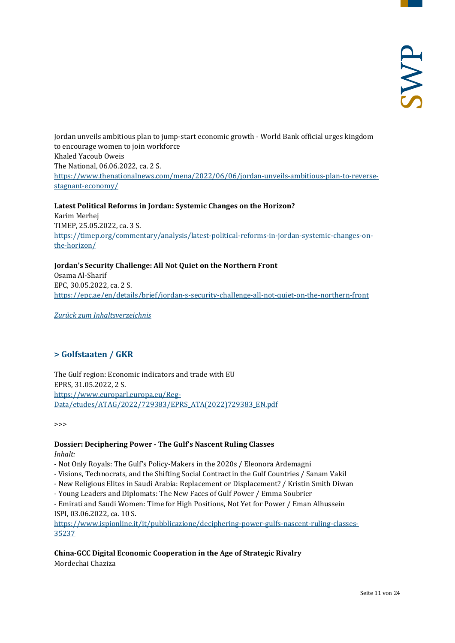Jordan unveils ambitious plan to jump-start economic growth - World Bank official urges kingdom to encourage women to join workforce Khaled Yacoub Oweis The National, 06.06.2022, ca. 2 S. [https://www.thenationalnews.com/mena/2022/06/06/jordan-unveils-ambitious-plan-to-reverse](https://www.thenationalnews.com/mena/2022/06/06/jordan-unveils-ambitious-plan-to-reverse-stagnant-economy/)[stagnant-economy/](https://www.thenationalnews.com/mena/2022/06/06/jordan-unveils-ambitious-plan-to-reverse-stagnant-economy/)

**Latest Political Reforms in Jordan: Systemic Changes on the Horizon?** Karim Merhej TIMEP, 25.05.2022, ca. 3 S. [https://timep.org/commentary/analysis/latest-political-reforms-in-jordan-systemic-changes-on](https://timep.org/commentary/analysis/latest-political-reforms-in-jordan-systemic-changes-on-the-horizon/)[the-horizon/](https://timep.org/commentary/analysis/latest-political-reforms-in-jordan-systemic-changes-on-the-horizon/)

**Jordan's Security Challenge: All Not Quiet on the Northern Front** Osama Al-Sharif EPC, 30.05.2022, ca. 2 S. <https://epc.ae/en/details/brief/jordan-s-security-challenge-all-not-quiet-on-the-northern-front>

<span id="page-10-0"></span>*[Zurück zum Inhaltsverzeichnis](#page-0-0)*

#### **> Golfstaaten / GKR**

The Gulf region: Economic indicators and trade with EU EPRS, 31.05.2022, 2 S. [https://www.europarl.europa.eu/Reg-](https://www.europarl.europa.eu/RegData/etudes/ATAG/2022/729383/EPRS_ATA(2022)729383_EN.pdf)[Data/etudes/ATAG/2022/729383/EPRS\\_ATA\(2022\)729383\\_EN.pdf](https://www.europarl.europa.eu/RegData/etudes/ATAG/2022/729383/EPRS_ATA(2022)729383_EN.pdf)

>>>

# **Dossier: Deciphering Power - The Gulf's Nascent Ruling Classes**

*Inhalt:*

- Not Only Royals: The Gulf's Policy-Makers in the 2020s / Eleonora Ardemagni
- Visions, Technocrats, and the Shifting Social Contract in the Gulf Countries / Sanam Vakil
- New Religious Elites in Saudi Arabia: Replacement or Displacement? / Kristin Smith Diwan
- Young Leaders and Diplomats: The New Faces of Gulf Power / Emma Soubrier
- Emirati and Saudi Women: Time for High Positions, Not Yet for Power / Eman Alhussein ISPI, 03.06.2022, ca. 10 S.

[https://www.ispionline.it/it/pubblicazione/deciphering-power-gulfs-nascent-ruling-classes-](https://www.ispionline.it/it/pubblicazione/deciphering-power-gulfs-nascent-ruling-classes-35237)[35237](https://www.ispionline.it/it/pubblicazione/deciphering-power-gulfs-nascent-ruling-classes-35237)

**China-GCC Digital Economic Cooperation in the Age of Strategic Rivalry** Mordechai Chaziza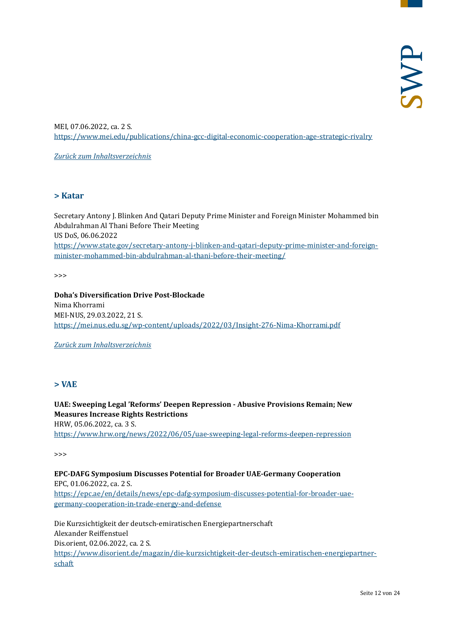MEI, 07.06.2022, ca. 2 S. <https://www.mei.edu/publications/china-gcc-digital-economic-cooperation-age-strategic-rivalry>

*[Zurück zum Inhaltsverzeichnis](#page-0-0)*

#### <span id="page-11-0"></span>**> Katar**

Secretary Antony J. Blinken And Qatari Deputy Prime Minister and Foreign Minister Mohammed bin Abdulrahman Al Thani Before Their Meeting US DoS, 06.06.2022 [https://www.state.gov/secretary-antony-j-blinken-and-qatari-deputy-prime-minister-and-foreign](https://www.state.gov/secretary-antony-j-blinken-and-qatari-deputy-prime-minister-and-foreign-minister-mohammed-bin-abdulrahman-al-thani-before-their-meeting/)[minister-mohammed-bin-abdulrahman-al-thani-before-their-meeting/](https://www.state.gov/secretary-antony-j-blinken-and-qatari-deputy-prime-minister-and-foreign-minister-mohammed-bin-abdulrahman-al-thani-before-their-meeting/)

 $\rightarrow$ 

**Doha's Diversification Drive Post-Blockade** Nima Khorrami MEI-NUS, 29.03.2022, 21 S. <https://mei.nus.edu.sg/wp-content/uploads/2022/03/Insight-276-Nima-Khorrami.pdf>

<span id="page-11-1"></span>*[Zurück zum Inhaltsverzeichnis](#page-0-0)*

#### **> VAE**

**UAE: Sweeping Legal 'Reforms' Deepen Repression - Abusive Provisions Remain; New Measures Increase Rights Restrictions** HRW, 05.06.2022, ca. 3 S. <https://www.hrw.org/news/2022/06/05/uae-sweeping-legal-reforms-deepen-repression>

>>>

**EPC-DAFG Symposium Discusses Potential for Broader UAE-Germany Cooperation** EPC, 01.06.2022, ca. 2 S. [https://epc.ae/en/details/news/epc-dafg-symposium-discusses-potential-for-broader-uae](https://epc.ae/en/details/news/epc-dafg-symposium-discusses-potential-for-broader-uae-germany-cooperation-in-trade-energy-and-defense)[germany-cooperation-in-trade-energy-and-defense](https://epc.ae/en/details/news/epc-dafg-symposium-discusses-potential-for-broader-uae-germany-cooperation-in-trade-energy-and-defense)

Die Kurzsichtigkeit der deutsch-emiratischen Energiepartnerschaft Alexander Reiffenstuel Dis.orient, 02.06.2022, ca. 2 S. [https://www.disorient.de/magazin/die-kurzsichtigkeit-der-deutsch-emiratischen-energiepartner](https://www.disorient.de/magazin/die-kurzsichtigkeit-der-deutsch-emiratischen-energiepartnerschaft)[schaft](https://www.disorient.de/magazin/die-kurzsichtigkeit-der-deutsch-emiratischen-energiepartnerschaft)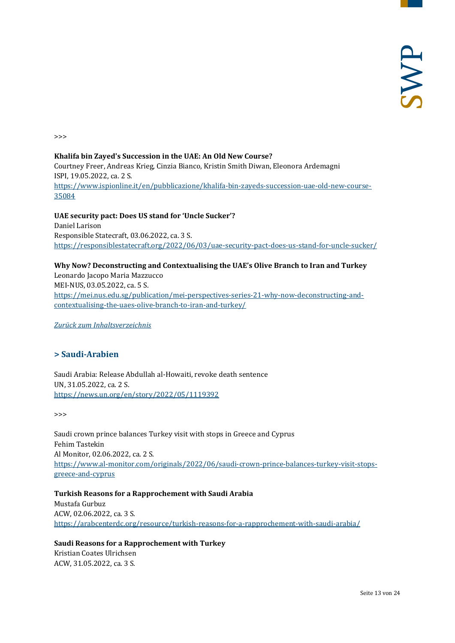>>>

#### **Khalifa bin Zayed's Succession in the UAE: An Old New Course?** Courtney Freer, Andreas Krieg, Cinzia Bianco, Kristin Smith Diwan, Eleonora Ardemagni ISPI, 19.05.2022, ca. 2 S. [https://www.ispionline.it/en/pubblicazione/khalifa-bin-zayeds-succession-uae-old-new-course-](https://www.ispionline.it/en/pubblicazione/khalifa-bin-zayeds-succession-uae-old-new-course-35084)[35084](https://www.ispionline.it/en/pubblicazione/khalifa-bin-zayeds-succession-uae-old-new-course-35084)

**UAE security pact: Does US stand for 'Uncle Sucker'?**  Daniel Larison Responsible Statecraft, 03.06.2022, ca. 3 S. <https://responsiblestatecraft.org/2022/06/03/uae-security-pact-does-us-stand-for-uncle-sucker/>

#### **Why Now? Deconstructing and Contextualising the UAE's Olive Branch to Iran and Turkey**

Leonardo Jacopo Maria Mazzucco MEI-NUS, 03.05.2022, ca. 5 S. [https://mei.nus.edu.sg/publication/mei-perspectives-series-21-why-now-deconstructing-and](https://mei.nus.edu.sg/publication/mei-perspectives-series-21-why-now-deconstructing-and-contextualising-the-uaes-olive-branch-to-iran-and-turkey/)[contextualising-the-uaes-olive-branch-to-iran-and-turkey/](https://mei.nus.edu.sg/publication/mei-perspectives-series-21-why-now-deconstructing-and-contextualising-the-uaes-olive-branch-to-iran-and-turkey/)

<span id="page-12-0"></span>*[Zurück zum Inhaltsverzeichnis](#page-0-0)*

#### **> Saudi-Arabien**

Saudi Arabia: Release Abdullah al-Howaiti, revoke death sentence UN, 31.05.2022, ca. 2 S. <https://news.un.org/en/story/2022/05/1119392>

>>>

Saudi crown prince balances Turkey visit with stops in Greece and Cyprus Fehim Tastekin Al Monitor, 02.06.2022, ca. 2 S. [https://www.al-monitor.com/originals/2022/06/saudi-crown-prince-balances-turkey-visit-stops](https://www.al-monitor.com/originals/2022/06/saudi-crown-prince-balances-turkey-visit-stops-greece-and-cyprus)[greece-and-cyprus](https://www.al-monitor.com/originals/2022/06/saudi-crown-prince-balances-turkey-visit-stops-greece-and-cyprus)

**Turkish Reasons for a Rapprochement with Saudi Arabia** Mustafa Gurbuz ACW, 02.06.2022, ca. 3 S. <https://arabcenterdc.org/resource/turkish-reasons-for-a-rapprochement-with-saudi-arabia/>

**Saudi Reasons for a Rapprochement with Turkey** Kristian Coates Ulrichsen ACW, 31.05.2022, ca. 3 S.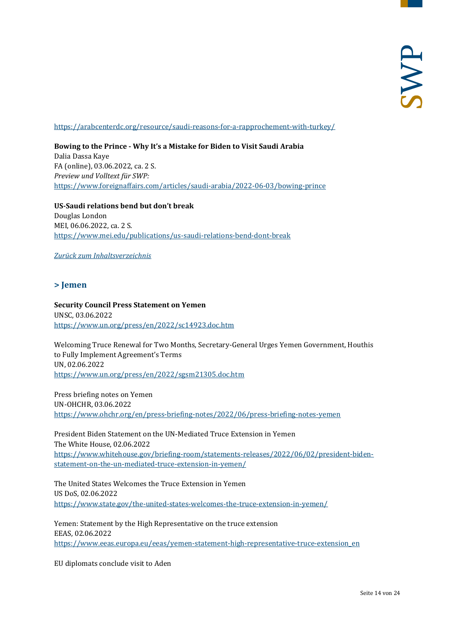<https://arabcenterdc.org/resource/saudi-reasons-for-a-rapprochement-with-turkey/>

**Bowing to the Prince - Why It's a Mistake for Biden to Visit Saudi Arabia** Dalia Dassa Kaye FA (online), 03.06.2022, ca. 2 S. *Preview und Volltext für SWP:* <https://www.foreignaffairs.com/articles/saudi-arabia/2022-06-03/bowing-prince>

**US-Saudi relations bend but don't break** Douglas London MEI, 06.06.2022, ca. 2 S. <https://www.mei.edu/publications/us-saudi-relations-bend-dont-break>

<span id="page-13-0"></span>*[Zurück zum Inhaltsverzeichnis](#page-0-0)*

#### **> Jemen**

#### **Security Council Press Statement on Yemen** UNSC, 03.06.2022 <https://www.un.org/press/en/2022/sc14923.doc.htm>

Welcoming Truce Renewal for Two Months, Secretary-General Urges Yemen Government, Houthis to Fully Implement Agreement's Terms UN, 02.06.2022 <https://www.un.org/press/en/2022/sgsm21305.doc.htm>

Press briefing notes on Yemen UN-OHCHR, 03.06.2022 <https://www.ohchr.org/en/press-briefing-notes/2022/06/press-briefing-notes-yemen>

President Biden Statement on the UN-Mediated Truce Extension in Yemen The White House, 02.06.2022 [https://www.whitehouse.gov/briefing-room/statements-releases/2022/06/02/president-biden](https://www.whitehouse.gov/briefing-room/statements-releases/2022/06/02/president-biden-statement-on-the-un-mediated-truce-extension-in-yemen/)[statement-on-the-un-mediated-truce-extension-in-yemen/](https://www.whitehouse.gov/briefing-room/statements-releases/2022/06/02/president-biden-statement-on-the-un-mediated-truce-extension-in-yemen/)

The United States Welcomes the Truce Extension in Yemen US DoS, 02.06.2022 <https://www.state.gov/the-united-states-welcomes-the-truce-extension-in-yemen/>

Yemen: Statement by the High Representative on the truce extension EEAS, 02.06.2022 [https://www.eeas.europa.eu/eeas/yemen-statement-high-representative-truce-extension\\_en](https://www.eeas.europa.eu/eeas/yemen-statement-high-representative-truce-extension_en)

EU diplomats conclude visit to Aden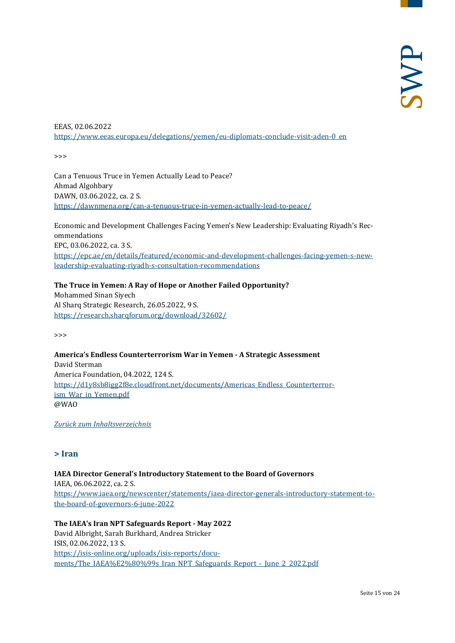EEAS, 02.06.2022 [https://www.eeas.europa.eu/delegations/yemen/eu-diplomats-conclude-visit-aden-0\\_en](https://www.eeas.europa.eu/delegations/yemen/eu-diplomats-conclude-visit-aden-0_en)

>>>

Can a Tenuous Truce in Yemen Actually Lead to Peace? Ahmad Algohbary DAWN, 03.06.2022, ca. 2 S. <https://dawnmena.org/can-a-tenuous-truce-in-yemen-actually-lead-to-peace/>

Economic and Development Challenges Facing Yemen's New Leadership: Evaluating Riyadh's Recommendations EPC, 03.06.2022, ca. 3 S. [https://epc.ae/en/details/featured/economic-and-development-challenges-facing-yemen-s-new](https://epc.ae/en/details/featured/economic-and-development-challenges-facing-yemen-s-new-leadership-evaluating-riyadh-s-consultation-recommendations)[leadership-evaluating-riyadh-s-consultation-recommendations](https://epc.ae/en/details/featured/economic-and-development-challenges-facing-yemen-s-new-leadership-evaluating-riyadh-s-consultation-recommendations)

**The Truce in Yemen: A Ray of Hope or Another Failed Opportunity?** Mohammed Sinan Siyech Al Sharq Strategic Research, 26.05.2022, 9 S. <https://research.sharqforum.org/download/32602/>

>>>

**America's Endless Counterterrorism War in Yemen - A Strategic Assessment** David Sterman America Foundation, 04.2022, 124 S. [https://d1y8sb8igg2f8e.cloudfront.net/documents/Americas\\_Endless\\_Counterterror](https://d1y8sb8igg2f8e.cloudfront.net/documents/Americas_Endless_Counterterrorism_War_in_Yemen.pdf)[ism\\_War\\_in\\_Yemen.pdf](https://d1y8sb8igg2f8e.cloudfront.net/documents/Americas_Endless_Counterterrorism_War_in_Yemen.pdf) @WAO

<span id="page-14-0"></span>*[Zurück zum Inhaltsverzeichnis](#page-0-0)*

#### **> Iran**

**IAEA Director General's Introductory Statement to the Board of Governors** IAEA, 06.06.2022, ca. 2 S. [https://www.iaea.org/newscenter/statements/iaea-director-generals-introductory-statement-to](https://www.iaea.org/newscenter/statements/iaea-director-generals-introductory-statement-to-the-board-of-governors-6-june-2022)[the-board-of-governors-6-june-2022](https://www.iaea.org/newscenter/statements/iaea-director-generals-introductory-statement-to-the-board-of-governors-6-june-2022)

**The IAEA's Iran NPT Safeguards Report - May 2022** David Albright, Sarah Burkhard, Andrea Stricker ISIS, 02.06.2022, 13 S. [https://isis-online.org/uploads/isis-reports/docu](https://isis-online.org/uploads/isis-reports/documents/The_IAEA%E2%80%99s_Iran_NPT_Safeguards_Report_-_June_2_2022.pdf)ments/The\_IAEA%E2%80%99s\_Iran\_NPT\_Safeguards\_Report - June 2\_2022.pdf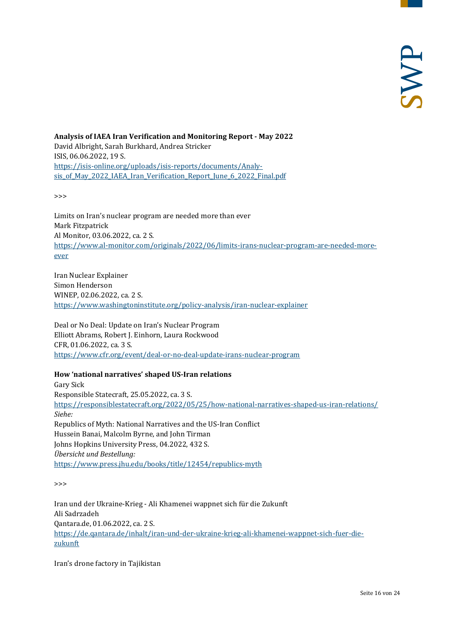**Analysis of IAEA Iran Verification and Monitoring Report - May 2022** David Albright, Sarah Burkhard, Andrea Stricker ISIS, 06.06.2022, 19 S. [https://isis-online.org/uploads/isis-reports/documents/Analy](https://isis-online.org/uploads/isis-reports/documents/Analysis_of_May_2022_IAEA_Iran_Verification_Report_June_6_2022_Final.pdf)[sis\\_of\\_May\\_2022\\_IAEA\\_Iran\\_Verification\\_Report\\_June\\_6\\_2022\\_Final.pdf](https://isis-online.org/uploads/isis-reports/documents/Analysis_of_May_2022_IAEA_Iran_Verification_Report_June_6_2022_Final.pdf)

>>>

Limits on Iran's nuclear program are needed more than ever Mark Fitzpatrick Al Monitor, 03.06.2022, ca. 2 S. [https://www.al-monitor.com/originals/2022/06/limits-irans-nuclear-program-are-needed-more](https://www.al-monitor.com/originals/2022/06/limits-irans-nuclear-program-are-needed-more-ever)[ever](https://www.al-monitor.com/originals/2022/06/limits-irans-nuclear-program-are-needed-more-ever)

Iran Nuclear Explainer Simon Henderson WINEP, 02.06.2022, ca. 2 S. <https://www.washingtoninstitute.org/policy-analysis/iran-nuclear-explainer>

Deal or No Deal: Update on Iran's Nuclear Program Elliott Abrams, Robert J. Einhorn, Laura Rockwood CFR, 01.06.2022, ca. 3 S. <https://www.cfr.org/event/deal-or-no-deal-update-irans-nuclear-program>

#### **How 'national narratives' shaped US-Iran relations**

Gary Sick Responsible Statecraft, 25.05.2022, ca. 3 S. <https://responsiblestatecraft.org/2022/05/25/how-national-narratives-shaped-us-iran-relations/> *Siehe:* Republics of Myth: National Narratives and the US-Iran Conflict Hussein Banai, Malcolm Byrne, and John Tirman Johns Hopkins University Press, 04.2022, 432 S. *Übersicht und Bestellung:* <https://www.press.jhu.edu/books/title/12454/republics-myth>

>>>

Iran und der Ukraine-Krieg - Ali Khamenei wappnet sich für die Zukunft Ali Sadrzadeh Qantara.de, 01.06.2022, ca. 2 S. [https://de.qantara.de/inhalt/iran-und-der-ukraine-krieg-ali-khamenei-wappnet-sich-fuer-die](https://de.qantara.de/inhalt/iran-und-der-ukraine-krieg-ali-khamenei-wappnet-sich-fuer-die-zukunft)[zukunft](https://de.qantara.de/inhalt/iran-und-der-ukraine-krieg-ali-khamenei-wappnet-sich-fuer-die-zukunft)

Iran's drone factory in Tajikistan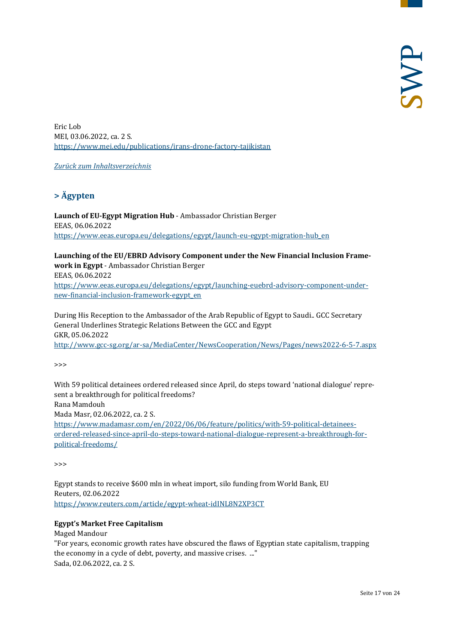Eric Lob MEI, 03.06.2022, ca. 2 S. <https://www.mei.edu/publications/irans-drone-factory-tajikistan>

<span id="page-16-0"></span>*[Zurück zum Inhaltsverzeichnis](#page-0-0)*

## **> Ägypten**

**Launch of EU-Egypt Migration Hub** - Ambassador Christian Berger EEAS, 06.06.2022 [https://www.eeas.europa.eu/delegations/egypt/launch-eu-egypt-migration-hub\\_en](https://www.eeas.europa.eu/delegations/egypt/launch-eu-egypt-migration-hub_en)

**Launching of the EU/EBRD Advisory Component under the New Financial Inclusion Framework in Egypt** - Ambassador Christian Berger EEAS, 06.06.2022 [https://www.eeas.europa.eu/delegations/egypt/launching-euebrd-advisory-component-under-](https://www.eeas.europa.eu/delegations/egypt/launching-euebrd-advisory-component-under-new-financial-inclusion-framework-egypt_en)

[new-financial-inclusion-framework-egypt\\_en](https://www.eeas.europa.eu/delegations/egypt/launching-euebrd-advisory-component-under-new-financial-inclusion-framework-egypt_en)

During His Reception to the Ambassador of the Arab Republic of Egypt to Saudi.. GCC Secretary General Underlines Strategic Relations Between the GCC and Egypt GKR, 05.06.2022

<http://www.gcc-sg.org/ar-sa/MediaCenter/NewsCooperation/News/Pages/news2022-6-5-7.aspx>

>>>

With 59 political detainees ordered released since April, do steps toward 'national dialogue' represent a breakthrough for political freedoms?

Rana Mamdouh

Mada Masr, 02.06.2022, ca. 2 S.

[https://www.madamasr.com/en/2022/06/06/feature/politics/with-59-political-detainees](https://www.madamasr.com/en/2022/06/06/feature/politics/with-59-political-detainees-ordered-released-since-april-do-steps-toward-national-dialogue-represent-a-breakthrough-for-political-freedoms/)[ordered-released-since-april-do-steps-toward-national-dialogue-represent-a-breakthrough-for](https://www.madamasr.com/en/2022/06/06/feature/politics/with-59-political-detainees-ordered-released-since-april-do-steps-toward-national-dialogue-represent-a-breakthrough-for-political-freedoms/)[political-freedoms/](https://www.madamasr.com/en/2022/06/06/feature/politics/with-59-political-detainees-ordered-released-since-april-do-steps-toward-national-dialogue-represent-a-breakthrough-for-political-freedoms/)

>>>

Egypt stands to receive \$600 mln in wheat import, silo funding from World Bank, EU Reuters, 02.06.2022 <https://www.reuters.com/article/egypt-wheat-idINL8N2XP3CT>

#### **Egypt's Market Free Capitalism**

Maged Mandour

"For years, economic growth rates have obscured the flaws of Egyptian state capitalism, trapping the economy in a cycle of debt, poverty, and massive crises. ..." Sada, 02.06.2022, ca. 2 S.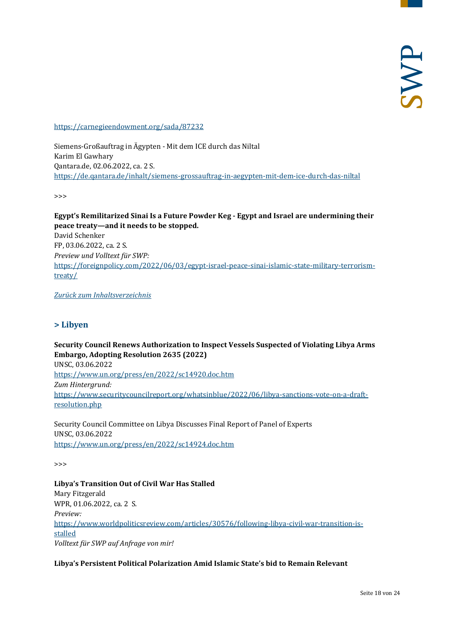<https://carnegieendowment.org/sada/87232>

Siemens-Großauftrag in Ägypten - Mit dem ICE durch das Niltal Karim El Gawhary Qantara.de, 02.06.2022, ca. 2 S. <https://de.qantara.de/inhalt/siemens-grossauftrag-in-aegypten-mit-dem-ice-durch-das-niltal>

>>>

**Egypt's Remilitarized Sinai Is a Future Powder Keg - Egypt and Israel are undermining their peace treaty—and it needs to be stopped.** David Schenker FP, 03.06.2022, ca. 2 S. *Preview und Volltext für SWP:* [https://foreignpolicy.com/2022/06/03/egypt-israel-peace-sinai-islamic-state-military-terrorism](https://foreignpolicy.com/2022/06/03/egypt-israel-peace-sinai-islamic-state-military-terrorism-treaty/)[treaty/](https://foreignpolicy.com/2022/06/03/egypt-israel-peace-sinai-islamic-state-military-terrorism-treaty/)

<span id="page-17-0"></span>*[Zurück zum Inhaltsverzeichnis](#page-0-0)*

#### **> Libyen**

**Security Council Renews Authorization to Inspect Vessels Suspected of Violating Libya Arms Embargo, Adopting Resolution 2635 (2022)** UNSC, 03.06.2022 <https://www.un.org/press/en/2022/sc14920.doc.htm> *Zum Hintergrund:* [https://www.securitycouncilreport.org/whatsinblue/2022/06/libya-sanctions-vote-on-a-draft](https://www.securitycouncilreport.org/whatsinblue/2022/06/libya-sanctions-vote-on-a-draft-resolution.php)[resolution.php](https://www.securitycouncilreport.org/whatsinblue/2022/06/libya-sanctions-vote-on-a-draft-resolution.php)

Security Council Committee on Libya Discusses Final Report of Panel of Experts UNSC, 03.06.2022 <https://www.un.org/press/en/2022/sc14924.doc.htm>

>>>

**Libya's Transition Out of Civil War Has Stalled** Mary Fitzgerald WPR, 01.06.2022, ca. 2 S. *Preview:* [https://www.worldpoliticsreview.com/articles/30576/following-libya-civil-war-transition-is](https://www.worldpoliticsreview.com/articles/30576/following-libya-civil-war-transition-is-stalled)[stalled](https://www.worldpoliticsreview.com/articles/30576/following-libya-civil-war-transition-is-stalled) *Volltext für SWP auf Anfrage von mir!*

**Libya's Persistent Political Polarization Amid Islamic State's bid to Remain Relevant**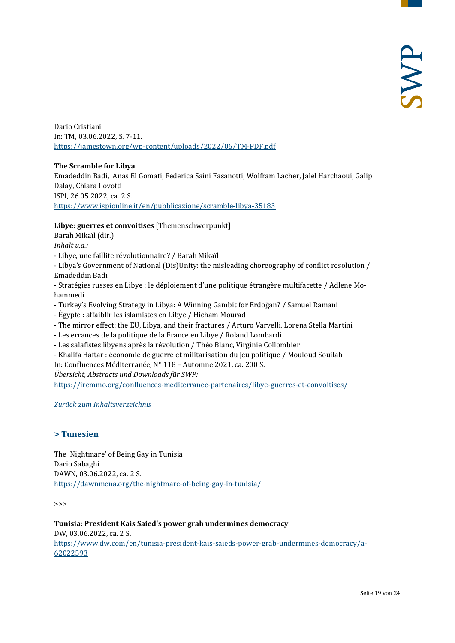Dario Cristiani In: TM, 03.06.2022, S. 7-11. <https://jamestown.org/wp-content/uploads/2022/06/TM-PDF.pdf>

#### **The Scramble for Libya**

Emadeddin Badi, Anas El Gomati, Federica Saini Fasanotti, Wolfram Lacher, Jalel Harchaoui, Galip Dalay, Chiara Lovotti ISPI, 26.05.2022, ca. 2 S. <https://www.ispionline.it/en/pubblicazione/scramble-libya-35183>

#### **Libye: guerres et convoitises** [Themenschwerpunkt]

Barah Mikaïl (dir.) *Inhalt u.a.:*

- Libye, une faillite révolutionnaire? / Barah Mikaı̈l

- Libya's Government of National (Dis)Unity: the misleading choreography of conflict resolution / Emadeddin Badi

- Stratégies russes en Libye : le déploiement d'une politique étrangère multifacette / Adlene Mohammedi

- Turkey's Evolving Strategy in Libya: A Winning Gambit for Erdoğan? / Samuel Ramani
- Égypte : affaiblir les islamistes en Libye / Hicham Mourad
- The mirror effect: the EU, Libya, and their fractures / Arturo Varvelli, Lorena Stella Martini
- Les errances de la politique de la France en Libye / Roland Lombardi
- Les salafistes libyens après la révolution / Théo Blanc, Virginie Collombier
- Khalifa Haftar : économie de guerre et militarisation du jeu politique / Mouloud Souilah In: Confluences Méditerranée, N° 118 – Automne 2021, ca. 200 S.

*Übersicht, Abstracts und Downloads für SWP:* <https://iremmo.org/confluences-mediterranee-partenaires/libye-guerres-et-convoitises/>

<span id="page-18-0"></span>*[Zurück zum Inhaltsverzeichnis](#page-0-0)*

#### **> Tunesien**

The 'Nightmare' of Being Gay in Tunisia Dario Sabaghi DAWN, 03.06.2022, ca. 2 S. <https://dawnmena.org/the-nightmare-of-being-gay-in-tunisia/>

>>>

**Tunisia: President Kais Saied's power grab undermines democracy** DW, 03.06.2022, ca. 2 S. [https://www.dw.com/en/tunisia-president-kais-saieds-power-grab-undermines-democracy/a-](https://www.dw.com/en/tunisia-president-kais-saieds-power-grab-undermines-democracy/a-62022593)[62022593](https://www.dw.com/en/tunisia-president-kais-saieds-power-grab-undermines-democracy/a-62022593)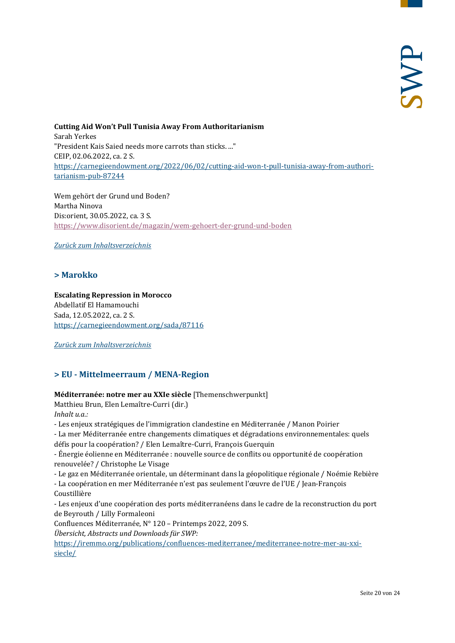**Cutting Aid Won't Pull Tunisia Away From Authoritarianism** Sarah Yerkes "President Kais Saied needs more carrots than sticks. ..." CEIP, 02.06.2022, ca. 2 S. [https://carnegieendowment.org/2022/06/02/cutting-aid-won-t-pull-tunisia-away-from-authori](https://carnegieendowment.org/2022/06/02/cutting-aid-won-t-pull-tunisia-away-from-authoritarianism-pub-87244)[tarianism-pub-87244](https://carnegieendowment.org/2022/06/02/cutting-aid-won-t-pull-tunisia-away-from-authoritarianism-pub-87244)

Wem gehört der Grund und Boden? Martha Ninova Dis:orient, 30.05.2022, ca. 3 S. <https://www.disorient.de/magazin/wem-gehoert-der-grund-und-boden>

<span id="page-19-0"></span>*[Zurück zum Inhaltsverzeichnis](#page-0-0)*

#### **> Marokko**

#### **Escalating Repression in Morocco** Abdellatif El Hamamouchi Sada, 12.05.2022, ca. 2 S. <https://carnegieendowment.org/sada/87116>

<span id="page-19-1"></span>*[Zurück zum Inhaltsverzeichnis](#page-0-0)*

#### **> EU - Mittelmeerraum / MENA-Region**

#### **Méditerranée: notre mer au XXIe siècle** [Themenschwerpunkt]

Matthieu Brun, Elen Lemaître-Curri (dir.)

*Inhalt u.a.:*

- Les enjeux stratégiques de l'immigration clandestine en Méditerranée / Manon Poirier
- La mer Méditerranée entre changements climatiques et dégradations environnementales: quels défis pour la coopération? / Elen Lemaître-Curri, François Guerquin

- Énergie éolienne en Méditerranée : nouvelle source de conflits ou opportunité de coopération renouvelée? / Christophe Le Visage

- Le gaz en Méditerranée orientale, un déterminant dans la géopolitique régionale / Noémie Rebière

- La coopération en mer Méditerranée n'est pas seulement l'œuvre de l'UE / Jean-François Coustillière

- Les enjeux d'une coopération des ports méditerranéens dans le cadre de la reconstruction du port de Beyrouth / Lilly Formaleoni

Confluences Méditerranée, N° 120 – Printemps 2022, 209 S.

*Übersicht, Abstracts und Downloads für SWP:*

[https://iremmo.org/publications/confluences-mediterranee/mediterranee-notre-mer-au-xxi](https://iremmo.org/publications/confluences-mediterranee/mediterranee-notre-mer-au-xxi-siecle/)[siecle/](https://iremmo.org/publications/confluences-mediterranee/mediterranee-notre-mer-au-xxi-siecle/)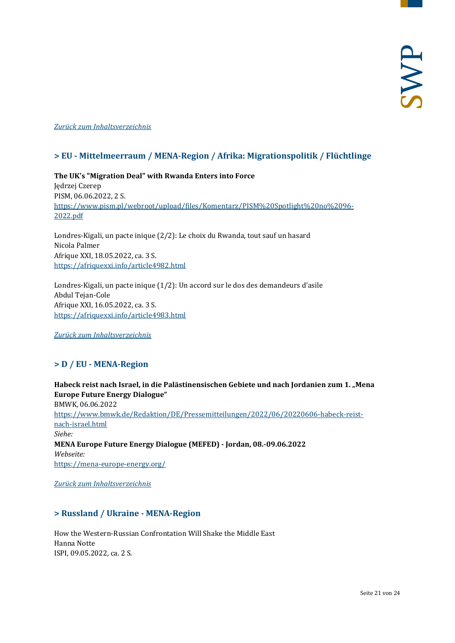#### <span id="page-20-0"></span>*[Zurück zum Inhaltsverzeichnis](#page-0-0)*

#### **> EU - Mittelmeerraum / MENA-Region / Afrika: Migrationspolitik / Flüchtlinge**

**The UK's "Migration Deal" with Rwanda Enters into Force**  Jędrzej Czerep PISM, 06.06.2022, 2 S. [https://www.pism.pl/webroot/upload/files/Komentarz/PISM%20Spotlight%20no%2096-](https://www.pism.pl/webroot/upload/files/Komentarz/PISM%20Spotlight%20no%2096-2022.pdf) [2022.pdf](https://www.pism.pl/webroot/upload/files/Komentarz/PISM%20Spotlight%20no%2096-2022.pdf)

Londres-Kigali, un pacte inique (2/2): Le choix du Rwanda, tout sauf un hasard Nicola Palmer Afrique XXI, 18.05.2022, ca. 3 S. <https://afriquexxi.info/article4982.html>

Londres-Kigali, un pacte inique (1/2): Un accord sur le dos des demandeurs d'asile Abdul Tejan-Cole Afrique XXI, 16.05.2022, ca. 3 S. <https://afriquexxi.info/article4983.html>

<span id="page-20-1"></span>*[Zurück zum Inhaltsverzeichnis](#page-0-0)*

#### **> D / EU - MENA-Region**

**Habeck reist nach Israel, in die Palästinensischen Gebiete und nach Jordanien zum 1. "Mena Europe Future Energy Dialogue"**  BMWK, 06.06.2022 [https://www.bmwk.de/Redaktion/DE/Pressemitteilungen/2022/06/20220606-habeck-reist](https://www.bmwk.de/Redaktion/DE/Pressemitteilungen/2022/06/20220606-habeck-reist-nach-israel.html)[nach-israel.html](https://www.bmwk.de/Redaktion/DE/Pressemitteilungen/2022/06/20220606-habeck-reist-nach-israel.html) *Siehe:* **MENA Europe Future Energy Dialogue (MEFED) - Jordan, 08.-09.06.2022** *Webseite:* <https://mena-europe-energy.org/>

<span id="page-20-2"></span>*[Zurück zum Inhaltsverzeichnis](#page-0-0)*

#### **> Russland / Ukraine - MENA-Region**

How the Western-Russian Confrontation Will Shake the Middle East Hanna Notte ISPI, 09.05.2022, ca. 2 S.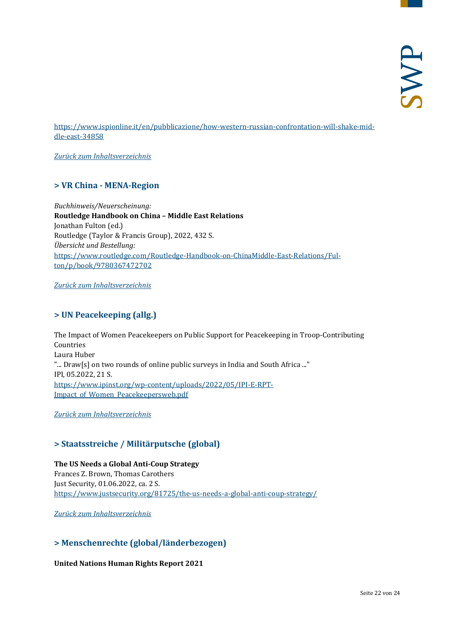[https://www.ispionline.it/en/pubblicazione/how-western-russian-confrontation-will-shake-mid](https://www.ispionline.it/en/pubblicazione/how-western-russian-confrontation-will-shake-middle-east-34858)[dle-east-34858](https://www.ispionline.it/en/pubblicazione/how-western-russian-confrontation-will-shake-middle-east-34858)

<span id="page-21-0"></span>*[Zurück zum Inhaltsverzeichnis](#page-0-0)*

#### **> VR China - MENA-Region**

*Buchhinweis/Neuerscheinung:* **Routledge Handbook on China – Middle East Relations** Jonathan Fulton (ed.) Routledge (Taylor & Francis Group), 2022, 432 S. *Übersicht und Bestellung:* [https://www.routledge.com/Routledge-Handbook-on-ChinaMiddle-East-Relations/Ful](https://www.routledge.com/Routledge-Handbook-on-ChinaMiddle-East-Relations/Fulton/p/book/9780367472702)[ton/p/book/9780367472702](https://www.routledge.com/Routledge-Handbook-on-ChinaMiddle-East-Relations/Fulton/p/book/9780367472702)

<span id="page-21-1"></span>*[Zurück zum Inhaltsverzeichnis](#page-0-0)*

#### **> UN Peacekeeping (allg.)**

The Impact of Women Peacekeepers on Public Support for Peacekeeping in Troop-Contributing Countries Laura Huber "... Draw[s] on two rounds of online public surveys in India and South Africa ..." IPI, 05.2022, 21 S. [https://www.ipinst.org/wp-content/uploads/2022/05/IPI-E-RPT-](https://www.ipinst.org/wp-content/uploads/2022/05/IPI-E-RPT-Impact_of_Women_Peacekeepersweb.pdf)[Impact\\_of\\_Women\\_Peacekeepersweb.pdf](https://www.ipinst.org/wp-content/uploads/2022/05/IPI-E-RPT-Impact_of_Women_Peacekeepersweb.pdf)

<span id="page-21-2"></span>*[Zurück zum Inhaltsverzeichnis](#page-0-0)*

#### **> Staatsstreiche / Militärputsche (global)**

**The US Needs a Global Anti-Coup Strategy** Frances Z. Brown, Thomas Carothers Just Security, 01.06.2022, ca. 2 S. <https://www.justsecurity.org/81725/the-us-needs-a-global-anti-coup-strategy/>

<span id="page-21-3"></span>*[Zurück zum Inhaltsverzeichnis](#page-0-0)*

#### **> Menschenrechte (global/länderbezogen)**

**United Nations Human Rights Report 2021**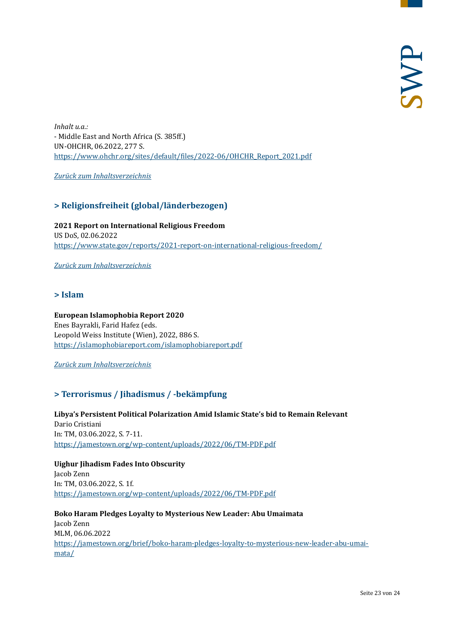*Inhalt u.a.:* - Middle East and North Africa (S. 385ff.) UN-OHCHR, 06.2022, 277 S. [https://www.ohchr.org/sites/default/files/2022-06/OHCHR\\_Report\\_2021.pdf](https://www.ohchr.org/sites/default/files/2022-06/OHCHR_Report_2021.pdf)

<span id="page-22-0"></span>*[Zurück zum Inhaltsverzeichnis](#page-0-0)*

#### **> Religionsfreiheit (global/länderbezogen)**

**2021 Report on International Religious Freedom**  US DoS, 02.06.2022 <https://www.state.gov/reports/2021-report-on-international-religious-freedom/>

<span id="page-22-1"></span>*[Zurück zum Inhaltsverzeichnis](#page-0-0)*

#### **> Islam**

#### **European Islamophobia Report 2020**

Enes Bayrakli, Farid Hafez (eds. Leopold Weiss Institute (Wien), 2022, 886 S. <https://islamophobiareport.com/islamophobiareport.pdf>

<span id="page-22-2"></span>*[Zurück zum Inhaltsverzeichnis](#page-0-0)*

#### **> Terrorismus / Jihadismus / -bekämpfung**

**Libya's Persistent Political Polarization Amid Islamic State's bid to Remain Relevant**  Dario Cristiani In: TM, 03.06.2022, S. 7-11. <https://jamestown.org/wp-content/uploads/2022/06/TM-PDF.pdf>

**Uighur Jihadism Fades Into Obscurity** Jacob Zenn In: TM, 03.06.2022, S. 1f. <https://jamestown.org/wp-content/uploads/2022/06/TM-PDF.pdf>

**Boko Haram Pledges Loyalty to Mysterious New Leader: Abu Umaimata** Jacob Zenn MLM, 06.06.2022 [https://jamestown.org/brief/boko-haram-pledges-loyalty-to-mysterious-new-leader-abu-umai](https://jamestown.org/brief/boko-haram-pledges-loyalty-to-mysterious-new-leader-abu-umaimata/)[mata/](https://jamestown.org/brief/boko-haram-pledges-loyalty-to-mysterious-new-leader-abu-umaimata/)